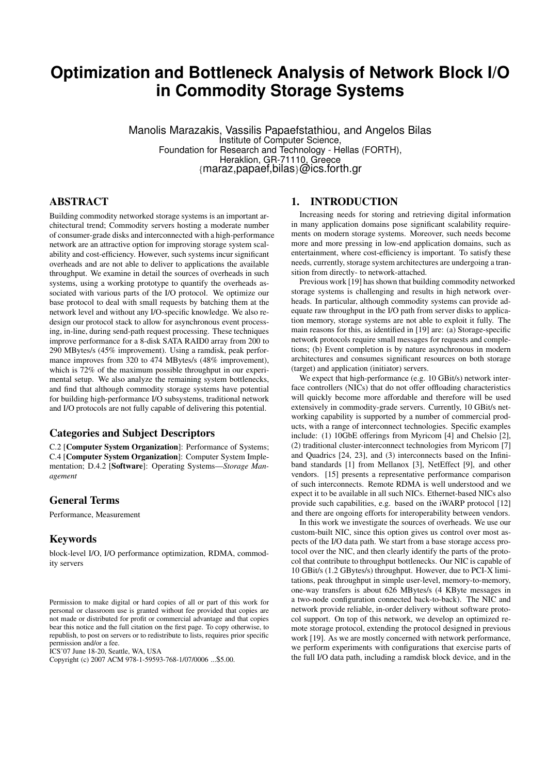# **Optimization and Bottleneck Analysis of Network Block I/O in Commodity Storage Systems**

Manolis Marazakis, Vassilis Papaefstathiou, and Angelos Bilas Institute of Computer Science, Foundation for Research and Technology - Hellas (FORTH), Heraklion, GR-71110, Greece {maraz,papaef,bilas}@ics.forth.gr

# **ABSTRACT**

Building commodity networked storage systems is an important architectural trend; Commodity servers hosting a moderate number of consumer-grade disks and interconnected with a high-performance network are an attractive option for improving storage system scalability and cost-efficiency. However, such systems incur significant overheads and are not able to deliver to applications the available throughput. We examine in detail the sources of overheads in such systems, using a working prototype to quantify the overheads associated with various parts of the I/O protocol. We optimize our base protocol to deal with small requests by batching them at the network level and without any I/O-specific knowledge. We also redesign our protocol stack to allow for asynchronous event processing, in-line, during send-path request processing. These techniques improve performance for a 8-disk SATA RAID0 array from 200 to 290 MBytes/s (45% improvement). Using a ramdisk, peak performance improves from 320 to 474 MBytes/s (48% improvement), which is  $72\%$  of the maximum possible throughput in our experimental setup. We also analyze the remaining system bottlenecks, and find that although commodity storage systems have potential for building high-performance I/O subsystems, traditional network and I/O protocols are not fully capable of delivering this potential.

# **Categories and Subject Descriptors**

C.2 [**Computer System Organization**]: Performance of Systems; C.4 [**Computer System Organization**]: Computer System Implementation; D.4.2 [**Software**]: Operating Systems—*Storage Management*

# **General Terms**

Performance, Measurement

#### **Keywords**

block-level I/O, I/O performance optimization, RDMA, commodity servers

ICS'07 June 18-20, Seattle, WA, USA

#### **1. INTRODUCTION**

Increasing needs for storing and retrieving digital information in many application domains pose significant scalability requirements on modern storage systems. Moreover, such needs become more and more pressing in low-end application domains, such as entertainment, where cost-efficiency is important. To satisfy these needs, currently, storage system architectures are undergoing a transition from directly- to network-attached.

Previous work [19] has shown that building commodity networked storage systems is challenging and results in high network overheads. In particular, although commodity systems can provide adequate raw throughput in the I/O path from server disks to application memory, storage systems are not able to exploit it fully. The main reasons for this, as identified in [19] are: (a) Storage-specific network protocols require small messages for requests and completions; (b) Event completion is by nature asynchronous in modern architectures and consumes significant resources on both storage (target) and application (initiator) servers.

We expect that high-performance (e.g. 10 GBit/s) network interface controllers (NICs) that do not offer offloading characteristics will quickly become more affordable and therefore will be used extensively in commodity-grade servers. Currently, 10 GBit/s networking capability is supported by a number of commercial products, with a range of interconnect technologies. Specific examples include: (1) 10GbE offerings from Myricom [4] and Chelsio [2], (2) traditional cluster-interconnect technologies from Myricom [7] and Quadrics [24, 23], and (3) interconnects based on the Infiniband standards [1] from Mellanox [3], NetEffect [9], and other vendors. [15] presents a representative performance comparison of such interconnects. Remote RDMA is well understood and we expect it to be available in all such NICs. Ethernet-based NICs also provide such capabilities, e.g. based on the iWARP protocol [12] and there are ongoing efforts for interoperability between vendors.

In this work we investigate the sources of overheads. We use our custom-built NIC, since this option gives us control over most aspects of the I/O data path. We start from a base storage access protocol over the NIC, and then clearly identify the parts of the protocol that contribute to throughput bottlenecks. Our NIC is capable of 10 GBit/s (1.2 GBytes/s) throughput. However, due to PCI-X limitations, peak throughput in simple user-level, memory-to-memory, one-way transfers is about 626 MBytes/s (4 KByte messages in a two-node configuration connected back-to-back). The NIC and network provide reliable, in-order delivery without software protocol support. On top of this network, we develop an optimized remote storage protocol, extending the protocol designed in previous work [19]. As we are mostly concerned with network performance, we perform experiments with configurations that exercise parts of the full I/O data path, including a ramdisk block device, and in the

Permission to make digital or hard copies of all or part of this work for personal or classroom use is granted without fee provided that copies are not made or distributed for profit or commercial advantage and that copies bear this notice and the full citation on the first page. To copy otherwise, to republish, to post on servers or to redistribute to lists, requires prior specific permission and/or a fee.

Copyright (c) 2007 ACM 978-1-59593-768-1/07/0006 ...\$5.00.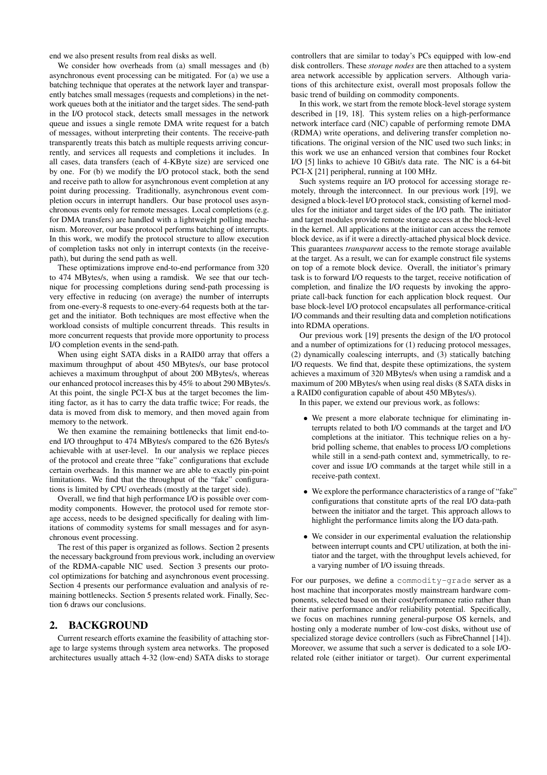end we also present results from real disks as well.

We consider how overheads from (a) small messages and (b) asynchronous event processing can be mitigated. For (a) we use a batching technique that operates at the network layer and transparently batches small messages (requests and completions) in the network queues both at the initiator and the target sides. The send-path in the I/O protocol stack, detects small messages in the network queue and issues a single remote DMA write request for a batch of messages, without interpreting their contents. The receive-path transparently treats this batch as multiple requests arriving concurrently, and services all requests and completions it includes. In all cases, data transfers (each of 4-KByte size) are serviced one by one. For (b) we modify the I/O protocol stack, both the send and receive path to allow for asynchronous event completion at any point during processing. Traditionally, asynchronous event completion occurs in interrupt handlers. Our base protocol uses asynchronous events only for remote messages. Local completions (e.g. for DMA transfers) are handled with a lightweight polling mechanism. Moreover, our base protocol performs batching of interrupts. In this work, we modify the protocol structure to allow execution of completion tasks not only in interrupt contexts (in the receivepath), but during the send path as well.

These optimizations improve end-to-end performance from 320 to 474 MBytes/s, when using a ramdisk. We see that our technique for processing completions during send-path processing is very effective in reducing (on average) the number of interrupts from one-every-8 requests to one-every-64 requests both at the target and the initiator. Both techniques are most effective when the workload consists of multiple concurrent threads. This results in more concurrent requests that provide more opportunity to process I/O completion events in the send-path.

When using eight SATA disks in a RAID0 array that offers a maximum throughput of about 450 MBytes/s, our base protocol achieves a maximum throughput of about 200 MBytes/s, whereas our enhanced protocol increases this by 45% to about 290 MBytes/s. At this point, the single PCI-X bus at the target becomes the limiting factor, as it has to carry the data traffic twice; For reads, the data is moved from disk to memory, and then moved again from memory to the network.

We then examine the remaining bottlenecks that limit end-toend I/O throughput to 474 MBytes/s compared to the 626 Bytes/s achievable with at user-level. In our analysis we replace pieces of the protocol and create three "fake" configurations that exclude certain overheads. In this manner we are able to exactly pin-point limitations. We find that the throughput of the "fake" configurations is limited by CPU overheads (mostly at the target side).

Overall, we find that high performance I/O is possible over commodity components. However, the protocol used for remote storage access, needs to be designed specifically for dealing with limitations of commodity systems for small messages and for asynchronous event processing.

The rest of this paper is organized as follows. Section 2 presents the necessary background from previous work, including an overview of the RDMA-capable NIC used. Section 3 presents our protocol optimizations for batching and asynchronous event processing. Section 4 presents our performance evaluation and analysis of remaining bottlenecks. Section 5 presents related work. Finally, Section 6 draws our conclusions.

## **2. BACKGROUND**

Current research efforts examine the feasibility of attaching storage to large systems through system area networks. The proposed architectures usually attach 4-32 (low-end) SATA disks to storage

controllers that are similar to today's PCs equipped with low-end disk controllers. These *storage nodes* are then attached to a system area network accessible by application servers. Although variations of this architecture exist, overall most proposals follow the basic trend of building on commodity components.

In this work, we start from the remote block-level storage system described in [19, 18]. This system relies on a high-performance network interface card (NIC) capable of performing remote DMA (RDMA) write operations, and delivering transfer completion notifications. The original version of the NIC used two such links; in this work we use an enhanced version that combines four Rocket I/O [5] links to achieve 10 GBit/s data rate. The NIC is a 64-bit PCI-X [21] peripheral, running at 100 MHz.

Such systems require an I/O protocol for accessing storage remotely, through the interconnect. In our previous work [19], we designed a block-level I/O protocol stack, consisting of kernel modules for the initiator and target sides of the I/O path. The initiator and target modules provide remote storage access at the block-level in the kernel. All applications at the initiator can access the remote block device, as if it were a directly-attached physical block device. This guarantees *transparent* access to the remote storage available at the target. As a result, we can for example construct file systems on top of a remote block device. Overall, the initiator's primary task is to forward I/O requests to the target, receive notification of completion, and finalize the I/O requests by invoking the appropriate call-back function for each application block request. Our base block-level I/O protocol encapsulates all performance-critical I/O commands and their resulting data and completion notifications into RDMA operations.

Our previous work [19] presents the design of the I/O protocol and a number of optimizations for (1) reducing protocol messages, (2) dynamically coalescing interrupts, and (3) statically batching I/O requests. We find that, despite these optimizations, the system achieves a maximum of 320 MBytes/s when using a ramdisk and a maximum of 200 MBytes/s when using real disks (8 SATA disks in a RAID0 configuration capable of about 450 MBytes/s).

In this paper, we extend our previous work, as follows:

- We present a more elaborate technique for eliminating interrupts related to both I/O commands at the target and I/O completions at the initiator. This technique relies on a hybrid polling scheme, that enables to process I/O completions while still in a send-path context and, symmetrically, to recover and issue I/O commands at the target while still in a receive-path context.
- We explore the performance characteristics of a range of "fake" configurations that constitute aprts of the real I/O data-path between the initiator and the target. This approach allows to highlight the performance limits along the I/O data-path.
- We consider in our experimental evaluation the relationship between interrupt counts and CPU utilization, at both the initiator and the target, with the throughput levels achieved, for a varying number of I/O issuing threads.

For our purposes, we define a commodity-grade server as a host machine that incorporates mostly mainstream hardware components, selected based on their cost/performance ratio rather than their native performance and/or reliability potential. Specifically, we focus on machines running general-purpose OS kernels, and hosting only a moderate number of low-cost disks, without use of specialized storage device controllers (such as FibreChannel [14]). Moreover, we assume that such a server is dedicated to a sole I/Orelated role (either initiator or target). Our current experimental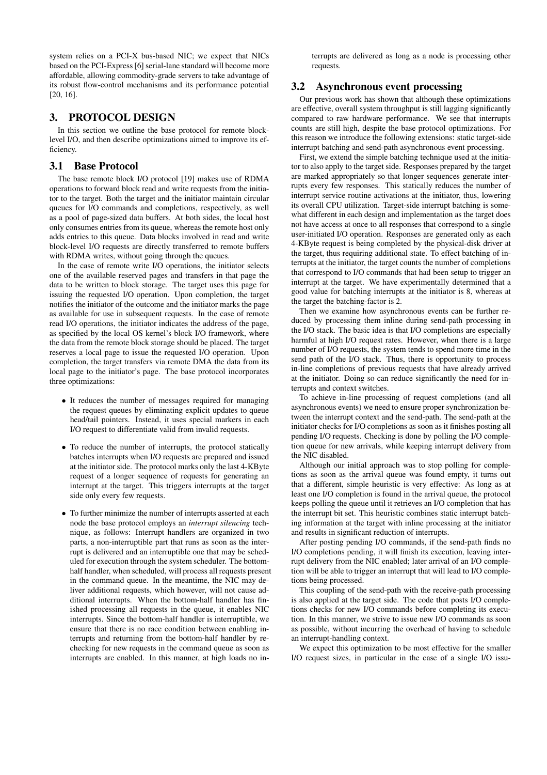system relies on a PCI-X bus-based NIC; we expect that NICs based on the PCI-Express [6] serial-lane standard will become more affordable, allowing commodity-grade servers to take advantage of its robust flow-control mechanisms and its performance potential [20, 16].

# **3. PROTOCOL DESIGN**

In this section we outline the base protocol for remote blocklevel I/O, and then describe optimizations aimed to improve its efficiency.

#### **3.1 Base Protocol**

The base remote block I/O protocol [19] makes use of RDMA operations to forward block read and write requests from the initiator to the target. Both the target and the initiator maintain circular queues for I/O commands and completions, respectively, as well as a pool of page-sized data buffers. At both sides, the local host only consumes entries from its queue, whereas the remote host only adds entries to this queue. Data blocks involved in read and write block-level I/O requests are directly transferred to remote buffers with RDMA writes, without going through the queues.

In the case of remote write I/O operations, the initiator selects one of the available reserved pages and transfers in that page the data to be written to block storage. The target uses this page for issuing the requested I/O operation. Upon completion, the target notifies the initiator of the outcome and the initiator marks the page as available for use in subsequent requests. In the case of remote read I/O operations, the initiator indicates the address of the page, as specified by the local OS kernel's block I/O framework, where the data from the remote block storage should be placed. The target reserves a local page to issue the requested I/O operation. Upon completion, the target transfers via remote DMA the data from its local page to the initiator's page. The base protocol incorporates three optimizations:

- It reduces the number of messages required for managing the request queues by eliminating explicit updates to queue head/tail pointers. Instead, it uses special markers in each I/O request to differentiate valid from invalid requests.
- To reduce the number of interrupts, the protocol statically batches interrupts when I/O requests are prepared and issued at the initiatorside. The protocol marks only the last 4-KByte request of a longer sequence of requests for generating an interrupt at the target. This triggers interrupts at the target side only every few requests.
- To further minimize the number of interrupts asserted at each node the base protocol employs an *interrupt silencing* technique, as follows: Interrupt handlers are organized in two parts, a non-interruptible part that runs as soon as the interrupt is delivered and an interruptible one that may be scheduled for execution through the system scheduler. The bottomhalf handler, when scheduled, will process all requests present in the command queue. In the meantime, the NIC may deliver additional requests, which however, will not cause additional interrupts. When the bottom-half handler has finished processing all requests in the queue, it enables NIC interrupts. Since the bottom-half handler is interruptible, we ensure that there is no race condition between enabling interrupts and returning from the bottom-half handler by rechecking for new requests in the command queue as soon as interrupts are enabled. In this manner, at high loads no in-

terrupts are delivered as long as a node is processing other requests.

# **3.2 Asynchronous event processing**

Our previous work has shown that although these optimizations are effective, overall system throughput is still lagging significantly compared to raw hardware performance. We see that interrupts counts are still high, despite the base protocol optimizations. For this reason we introduce the following extensions: static target-side interrupt batching and send-path asynchronous event processing.

First, we extend the simple batching technique used at the initiator to also apply to the target side. Responses prepared by the target are marked appropriately so that longer sequences generate interrupts every few responses. This statically reduces the number of interrupt service routine activations at the initiator, thus, lowering its overall CPU utilization. Target-side interrupt batching is somewhat different in each design and implementation as the target does not have access at once to all responses that correspond to a single user-initiated I/O operation. Responses are generated only as each 4-KByte request is being completed by the physical-disk driver at the target, thus requiring additional state. To effect batching of interrupts at the initiator, the target counts the number of completions that correspond to I/O commands that had been setup to trigger an interrupt at the target. We have experimentally determined that a good value for batching interrupts at the initiator is 8, whereas at the target the batching-factor is 2.

Then we examine how asynchronous events can be further reduced by processing them inline during send-path processing in the I/O stack. The basic idea is that I/O completions are especially harmful at high I/O request rates. However, when there is a large number of I/O requests, the system tends to spend more time in the send path of the I/O stack. Thus, there is opportunity to process in-line completions of previous requests that have already arrived at the initiator. Doing so can reduce significantly the need for interrupts and context switches.

To achieve in-line processing of request completions (and all asynchronous events) we need to ensure proper synchronization between the interrupt context and the send-path. The send-path at the initiator checks for I/O completions as soon as it finishes posting all pending I/O requests. Checking is done by polling the I/O completion queue for new arrivals, while keeping interrupt delivery from the NIC disabled.

Although our initial approach was to stop polling for completions as soon as the arrival queue was found empty, it turns out that a different, simple heuristic is very effective: As long as at least one I/O completion is found in the arrival queue, the protocol keeps polling the queue until it retrieves an I/O completion that has the interrupt bit set. This heuristic combines static interrupt batching information at the target with inline processing at the initiator and results in significant reduction of interrupts.

After posting pending I/O commands, if the send-path finds no I/O completions pending, it will finish its execution, leaving interrupt delivery from the NIC enabled; later arrival of an I/O completion will be able to trigger an interrupt that will lead to I/O completions being processed.

This coupling of the send-path with the receive-path processing is also applied at the target side. The code that posts I/O completions checks for new I/O commands before completing its execution. In this manner, we strive to issue new I/O commands as soon as possible, without incurring the overhead of having to schedule an interrupt-handling context.

We expect this optimization to be most effective for the smaller I/O request sizes, in particular in the case of a single I/O issu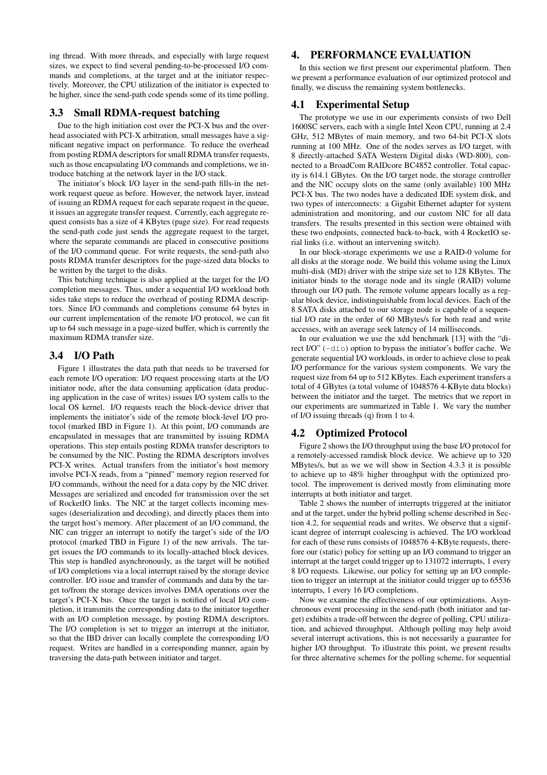ing thread. With more threads, and especially with large request sizes, we expect to find several pending-to-be-processed I/O commands and completions, at the target and at the initiator respectively. Moreover, the CPU utilization of the initiator is expected to be higher, since the send-path code spends some of its time polling.

# **3.3 Small RDMA-request batching**

Due to the high initiation cost over the PCI-X bus and the overhead associated with PCI-X arbitration, small messages have a significant negative impact on performance. To reduce the overhead from posting RDMA descriptors for small RDMA transfer requests, such as those encapsulating I/O commands and completions, we introduce batching at the network layer in the I/O stack.

The initiator's block I/O layer in the send-path fills-in the network request queue as before. However, the network layer, instead of issuing an RDMA request for each separate request in the queue, it issues an aggregate transfer request. Currently, each aggregate request consists has a size of 4 KBytes (page size). For read requests the send-path code just sends the aggregate request to the target, where the separate commands are placed in consecutive positions of the I/O command queue. For write requests, the send-path also posts RDMA transfer descriptors for the page-sized data blocks to be written by the target to the disks.

This batching technique is also applied at the target for the I/O completion messages. Thus, under a sequential I/O workload both sides take steps to reduce the overhead of posting RDMA descriptors. Since I/O commands and completions consume 64 bytes in our current implementation of the remote I/O protocol, we can fit up to 64 such message in a page-sized buffer, which is currently the maximum RDMA transfer size.

# **3.4 I/O Path**

Figure 1 illustrates the data path that needs to be traversed for each remote I/O operation: I/O request processing starts at the I/O initiator node, after the data consuming application (data producing application in the case of writes) issues I/O system calls to the local OS kernel. I/O requests reach the block-device driver that implements the initiator's side of the remote block-level I/O protocol (marked IBD in Figure 1). At this point, I/O commands are encapsulated in messages that are transmitted by issuing RDMA operations. This step entails posting RDMA transfer descriptors to be consumed by the NIC. Posting the RDMA descriptors involves PCI-X writes. Actual transfers from the initiator's host memory involve PCI-X reads, from a "pinned" memory region reserved for I/O commands, without the need for a data copy by the NIC driver. Messages are serialized and encoded for transmission over the set of RocketIO links. The NIC at the target collects incoming messages (deserialization and decoding), and directly places them into the target host's memory. After placement of an I/O command, the NIC can trigger an interrupt to notify the target's side of the I/O protocol (marked TBD in Figure 1) of the new arrivals. The target issues the I/O commands to its locally-attached block devices. This step is handled asynchronously, as the target will be notified of I/O completions via a local interrupt raised by the storage device controller. I/O issue and transfer of commands and data by the target to/from the storage devices involves DMA operations over the target's PCI-X bus. Once the target is notified of local I/O completion, it transmits the corresponding data to the initiator together with an I/O completion message, by posting RDMA descriptors. The I/O completion is set to trigger an interrupt at the initiator, so that the IBD driver can locally complete the corresponding I/O request. Writes are handled in a corresponding manner, again by traversing the data-path between initiator and target.

# **4. PERFORMANCE EVALUATION**

In this section we first present our experimental platform. Then we present a performance evaluation of our optimized protocol and finally, we discuss the remaining system bottlenecks.

# **4.1 Experimental Setup**

The prototype we use in our experiments consists of two Dell 1600SC servers, each with a single Intel Xeon CPU, running at 2.4 GHz, 512 MBytes of main memory, and two 64-bit PCI-X slots running at 100 MHz. One of the nodes serves as I/O target, with 8 directly-attached SATA Western Digital disks (WD-800), connected to a BroadCom RAIDcore BC4852 controller. Total capacity is 614.1 GBytes. On the I/O target node, the storage controller and the NIC occupy slots on the same (only available) 100 MHz PCI-X bus. The two nodes have a dedicated IDE system disk, and two types of interconnects: a Gigabit Ethernet adapter for system administration and monitoring, and our custom NIC for all data transfers. The results presented in this section were obtained with these two endpoints, connected back-to-back, with 4 RocketIO serial links (i.e. without an intervening switch).

In our block-storage experiments we use a RAID-0 volume for all disks at the storage node. We build this volume using the Linux multi-disk (MD) driver with the stripe size set to 128 KBytes. The initiator binds to the storage node and its single (RAID) volume through our I/O path. The remote volume appears locally as a regular block device, indistinguishable from local devices. Each of the 8 SATA disks attached to our storage node is capable of a sequential I/O rate in the order of 60 MBytes/s for both read and write accesses, with an average seek latency of 14 milliseconds.

In our evaluation we use the xdd benchmark [13] with the "direct I/O" (-dio) option to bypass the initiator's buffer cache. We generate sequential I/O workloads, in order to achieve close to peak I/O performance for the various system components. We vary the request size from 64 up to 512 KBytes. Each experiment transfers a total of 4 GBytes (a total volume of 1048576 4-KByte data blocks) between the initiator and the target. The metrics that we report in our experiments are summarized in Table 1. We vary the number of I/O issuing threads (q) from 1 to 4.

# **4.2 Optimized Protocol**

Figure 2 shows the I/O throughput using the base I/O protocol for a remotely-accessed ramdisk block device. We achieve up to 320 MBytes/s, but as we we will show in Section 4.3.3 it is possible to achieve up to 48% higher throughput with the optimized protocol. The improvement is derived mostly from eliminating more interrupts at both initiator and target.

Table 2 shows the number of interrupts triggered at the initiator and at the target, under the hybrid polling scheme described in Section 4.2, for sequential reads and writes. We observe that a significant degree of interrupt coalescing is achieved. The I/O workload for each of these runs consists of 1048576 4-KByte requests, therefore our (static) policy for setting up an I/O command to trigger an interrupt at the target could trigger up to 131072 interrupts, 1 every 8 I/O requests. Likewise, our policy for setting up an I/O completion to trigger an interrupt at the initiator could trigger up to 65536 interrupts, 1 every 16 I/O completions.

Now we examine the effectiveness of our optimizations. Asynchronous event processing in the send-path (both initiator and target) exhibits a trade-off between the degree of polling, CPU utilization, and achieved throughput. Although polling may help avoid several interrupt activations, this is not necessarily a guarantee for higher I/O throughput. To illustrate this point, we present results for three alternative schemes for the polling scheme, for sequential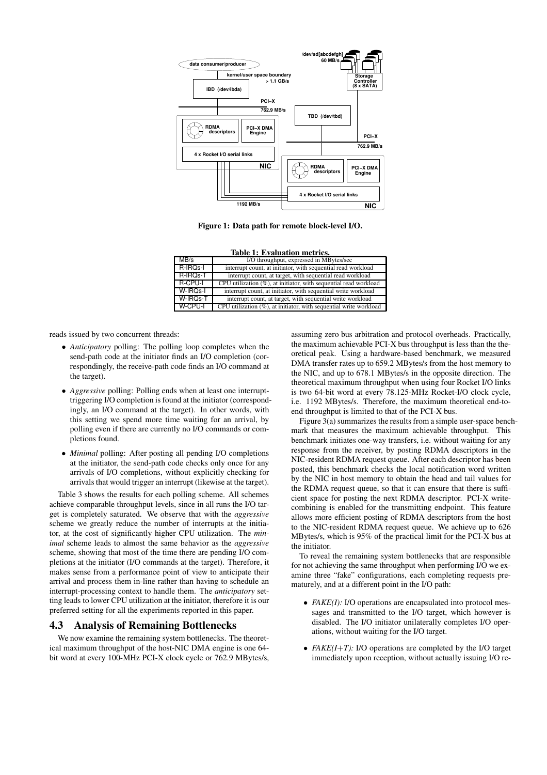

**Figure 1: Data path for remote block-level I/O.**

|          | <b>Table 1: Evaluation metrics.</b>                                  |
|----------|----------------------------------------------------------------------|
| MB/s     | I/O throughput, expressed in MBytes/sec                              |
| R-IRQs-I | interrupt count, at initiator, with sequential read workload         |
| R-IRQs-T | interrupt count, at target, with sequential read workload            |
| R-CPU-I  | CPU utilization $(\%)$ , at initiator, with sequential read workload |
| W-IRQs-T | interrupt count, at initiator, with sequential write workload        |
| W-IRQs-T | interrupt count, at target, with sequential write workload           |
| W-CPU-I  | CPU utilization (%), at initiator, with sequential write workload    |

reads issued by two concurrent threads:

- *Anticipatory* polling: The polling loop completes when the send-path code at the initiator finds an I/O completion (correspondingly, the receive-path code finds an I/O command at the target).
- *Aggressive* polling: Polling ends when at least one interrupttriggering I/O completion isfound at the initiator (correspondingly, an I/O command at the target). In other words, with this setting we spend more time waiting for an arrival, by polling even if there are currently no I/O commands or completions found.
- *Minimal* polling: After posting all pending I/O completions at the initiator, the send-path code checks only once for any arrivals of I/O completions, without explicitly checking for arrivals that would trigger an interrupt (likewise at the target).

Table 3 shows the results for each polling scheme. All schemes achieve comparable throughput levels, since in all runs the I/O target is completely saturated. We observe that with the *aggressive* scheme we greatly reduce the number of interrupts at the initiator, at the cost of significantly higher CPU utilization. The *minimal* scheme leads to almost the same behavior as the *aggressive* scheme, showing that most of the time there are pending I/O completions at the initiator (I/O commands at the target). Therefore, it makes sense from a performance point of view to anticipate their arrival and process them in-line rather than having to schedule an interrupt-processing context to handle them. The *anticipatory* setting leads to lower CPU utilization at the initiator, therefore it is our preferred setting for all the experiments reported in this paper.

#### **4.3 Analysis of Remaining Bottlenecks**

We now examine the remaining system bottlenecks. The theoretical maximum throughput of the host-NIC DMA engine is one 64 bit word at every 100-MHz PCI-X clock cycle or 762.9 MBytes/s,

assuming zero bus arbitration and protocol overheads. Practically, the maximum achievable PCI-X bus throughput is less than the theoretical peak. Using a hardware-based benchmark, we measured DMA transfer rates up to 659.2 MBytes/s from the host memory to the NIC, and up to 678.1 MBytes/s in the opposite direction. The theoretical maximum throughput when using four Rocket I/O links is two 64-bit word at every 78.125-MHz Rocket-I/O clock cycle, i.e. 1192 MBytes/s. Therefore, the maximum theoretical end-toend throughput is limited to that of the PCI-X bus.

Figure 3(a) summarizes the results from a simple user-space benchmark that measures the maximum achievable throughput. This benchmark initiates one-way transfers, i.e. without waiting for any response from the receiver, by posting RDMA descriptors in the NIC-resident RDMA request queue. After each descriptor has been posted, this benchmark checks the local notification word written by the NIC in host memory to obtain the head and tail values for the RDMA request queue, so that it can ensure that there is sufficient space for posting the next RDMA descriptor. PCI-X writecombining is enabled for the transmitting endpoint. This feature allows more efficient posting of RDMA descriptors from the host to the NIC-resident RDMA request queue. We achieve up to 626 MBytes/s, which is 95% of the practical limit for the PCI-X bus at the initiator.

To reveal the remaining system bottlenecks that are responsible for not achieving the same throughput when performing I/O we examine three "fake" configurations, each completing requests prematurely, and at a different point in the I/O path:

- *FAKE(I):* I/O operations are encapsulated into protocol messages and transmitted to the I/O target, which however is disabled. The I/O initiator unilaterally completes I/O operations, without waiting for the I/O target.
- *FAKE(I+T):* I/O operations are completed by the I/O target immediately upon reception, without actually issuing I/O re-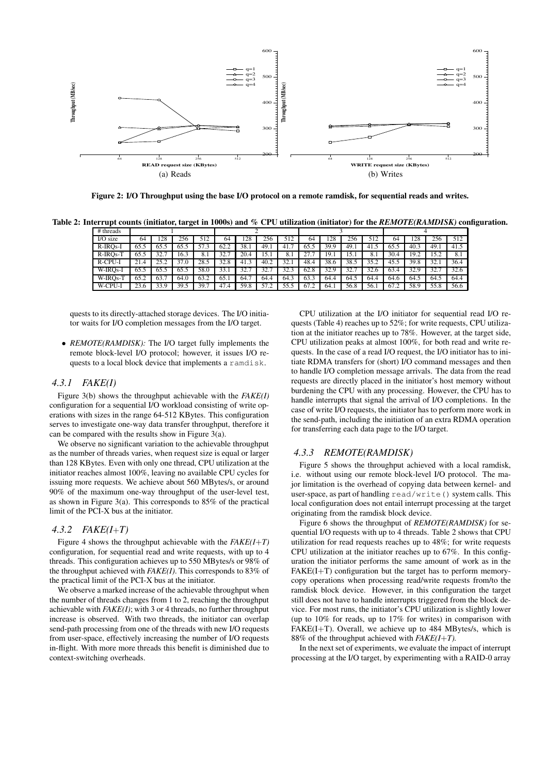

Figure 2: I/O Throughput using the base I/O protocol on a remote ramdisk, for sequential reads and writes.

Table 2: Interrupt counts (initiator, target in 1000s) and % CPU utilization (initiator) for the REMOTE(RAMDISK) configuration.

| # threads                |      |                        |      |      |      |      |      |      |      |      |                        |      |      |      |      |      |
|--------------------------|------|------------------------|------|------|------|------|------|------|------|------|------------------------|------|------|------|------|------|
| I/O size                 | 64   | 128                    | 256  | 512  | 64   | 128  | 256  | 512  | 64   | 128  | 256                    | 512  | 64   | 128  | 256  | 512  |
| $R$ -IROs-I              | 65.5 | 65.5                   | 65.5 | 57.3 | 62.2 | 38.1 | 49.1 | 41.  | 65.5 | 39.9 | 49.1                   | 41.5 | 65.5 | 40.3 | 49.1 | 41.5 |
| $R$ -IRO <sub>s</sub> -T | 65.5 | 32.7                   | 16.3 | 8.1  | 32.7 | 20.4 | 15.1 | 8.1  | 27.7 | 19.1 | 15.1                   | 8.1  | 30.4 | 19.2 | 15.2 | 8.1  |
| R-CPU-I                  | 21.4 | 25.2                   | 37.0 | 28.5 | 32.8 | 41.3 | 40.2 | 32.1 | 48.4 | 38.6 | 38.5                   | 35.2 | 45.5 | 39.8 | 32.1 | 36.4 |
| W-IROs-I                 | 65.5 | 65.5                   | 65.5 | 58.0 | 33.1 | 32.7 | 32.7 | 32.3 | 62.8 | 32.9 | 32.7<br>$\overline{ }$ | 32.6 | 63.4 | 32.9 | 32.7 | 32.6 |
| W-IROs-T                 | 65.2 | 63.7<br>$\overline{ }$ | 64.0 | 63.2 | 65.1 | 64.7 | 64.4 | 64.3 | 63.3 | 64.4 | 64.5                   | 64.4 | 64.6 | 64.5 | 64.5 | 64.4 |
| W-CPU-I                  | 23.6 | 33.9                   | 39.5 | 39.7 | 47.4 | 59.8 | 57.2 | 55.5 | 67.2 | 64.1 | 56.8                   | 56.1 | 67.2 | 58.9 | 55.8 | 56.6 |

quests to its directly-attached storage devices. The I/O initiator waits for I/O completion messages from the I/O target.

• *REMOTE(RAMDISK):* The I/O target fully implements the remote block-level I/O protocol; however, it issues I/O requests to a local block device that implements a ramdisk.

#### *4.3.1 FAKE(I)*

Figure 3(b) shows the throughput achievable with the *FAKE(I)* configuration for a sequential I/O workload consisting of write operations with sizes in the range 64-512 KBytes. This configuration serves to investigate one-way data transfer throughput, therefore it can be compared with the results show in Figure 3(a).

We observe no significant variation to the achievable throughput as the number of threads varies, when request size is equal or larger than 128 KBytes. Even with only one thread, CPU utilization at the initiator reaches almost 100%, leaving no available CPU cycles for issuing more requests. We achieve about 560 MBytes/s, or around 90% of the maximum one-way throughput of the user-level test, as shown in Figure 3(a). This corresponds to 85% of the practical limit of the PCI-X bus at the initiator.

#### *4.3.2 FAKE(I*+*T)*

Figure 4 shows the throughput achievable with the *FAKE(I*+*T)* configuration, for sequential read and write requests, with up to 4 threads. This configuration achieves up to 550 MBytes/s or 98% of the throughput achieved with *FAKE(I)*. This corresponds to 83% of the practical limit of the PCI-X bus at the initiator.

We observe a marked increase of the achievable throughput when the number of threads changes from 1 to 2, reaching the throughput achievable with *FAKE(I)*; with 3 or 4 threads, no further throughput increase is observed. With two threads, the initiator can overlap send-path processing from one of the threads with new I/O requests from user-space, effectively increasing the number of I/O requests in-flight. With more more threads this benefit is diminished due to context-switching overheads.

CPU utilization at the I/O initiator for sequential read I/O requests (Table 4) reaches up to 52%; for write requests, CPU utilization at the initiator reaches up to 78%. However, at the target side, CPU utilization peaks at almost 100%, for both read and write requests. In the case of a read I/O request, the I/O initiator has to initiate RDMA transfers for (short) I/O command messages and then to handle I/O completion message arrivals. The data from the read requests are directly placed in the initiator's host memory without burdening the CPU with any processing. However, the CPU has to handle interrupts that signal the arrival of I/O completions. In the case of write I/O requests, the initiator has to perform more work in the send-path, including the initiation of an extra RDMA operation for transferring each data page to the I/O target.

#### *4.3.3 REMOTE(RAMDISK)*

Figure 5 shows the throughput achieved with a local ramdisk, i.e. without using our remote block-level I/O protocol. The major limitation is the overhead of copying data between kernel- and user-space, as part of handling read/write() system calls. This local configuration does not entail interrupt processing at the target originating from the ramdisk block device.

Figure 6 shows the throughput of *REMOTE(RAMDISK)* for sequential I/O requests with up to 4 threads. Table 2 shows that CPU utilization for read requests reaches up to 48%; for write requests CPU utilization at the initiator reaches up to 67%. In this configuration the initiator performs the same amount of work as in the  $FAKE(I+T)$  configuration but the target has to perform memorycopy operations when processing read/write requests from/to the ramdisk block device. However, in this configuration the target still does not have to handle interrupts triggered from the block device. For most runs, the initiator's CPU utilization is slightly lower (up to 10% for reads, up to 17% for writes) in comparison with FAKE(I+T). Overall, we achieve up to 484 MBytes/s, which is 88% of the throughput achieved with *FAKE(I*+*T).*

In the next set of experiments, we evaluate the impact of interrupt processing at the I/O target, by experimenting with a RAID-0 array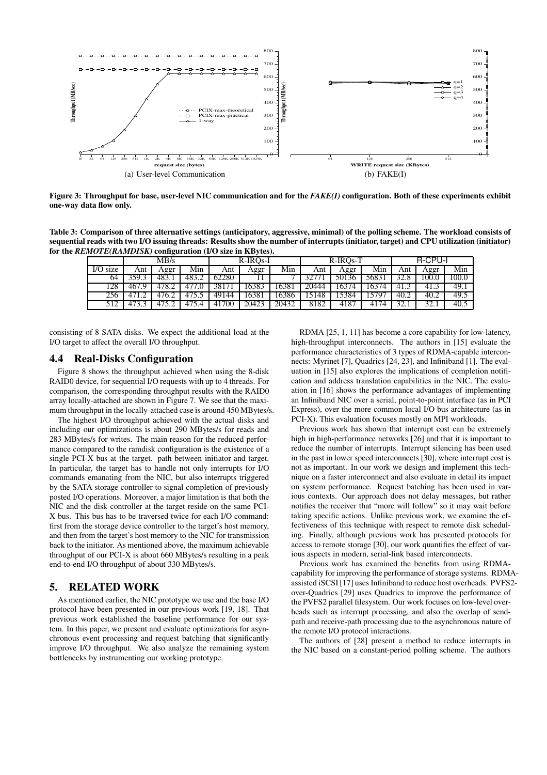

Figure 3: Throughput for base, user-level NIC communication and for the FAKE(I) configuration. Both of these experiments exhibit **one-way data flow only.**

Table 3: Comparison of three alternative settings (anticipatory, aggressive, minimal) of the polling scheme. The workload consists of sequential reads with two I/O issuing threads: Results show the number of interrupts (initiator, target) and CPU utilization (initiator) **for the** *REMOTE(RAMDISK)* **configuration (I/O size in KBytes).**

|           |           | MB/s     |       |                 | $R$ -IROs-I |       |       | R-IRO <sub>s</sub> -T |       | R-CPU-I    |       |       |
|-----------|-----------|----------|-------|-----------------|-------------|-------|-------|-----------------------|-------|------------|-------|-------|
| $UO size$ | Ant       | Aggr     | Min   | Ant             | Aggr        | Min   | Ant   | Aggr                  | Min   | Ant        | Aggr  | Min   |
| 64        | 159 3     | $-483.1$ | 483.2 | 62280           |             |       |       | 50136                 | 56831 |            | 100.0 | 100.0 |
| .28       | 467<br>y. | 478.∠    | .0    | 38 <sup>T</sup> | .6383       | 16381 | 20444 | 16374                 | 16374 | 41.7       | 41.3  | 49.1  |
| 256       | 471       | 476.2    | 475.  | 49144           | 16381       | 16386 | 5148. | 5384                  | 5797ء | 40.2       | 40.2  | 49.5  |
|           |           | 475.2    | 475.4 | 41700           | 20423       | 20432 | 8182  | 4187                  | 4174  | 30<br>ہ کر | 32.1  | 40.5  |

consisting of 8 SATA disks. We expect the additional load at the I/O target to affect the overall I/O throughput.

## **4.4 Real-Disks Configuration**

Figure 8 shows the throughput achieved when using the 8-disk RAID0 device, for sequential I/O requests with up to 4 threads. For comparison, the corresponding throughput results with the RAID0 array locally-attached are shown in Figure 7. We see that the maximum throughput in the locally-attached case is around 450 MBytes/s.

The highest I/O throughput achieved with the actual disks and including our optimizations is about 290 MBytes/s for reads and 283 MBytes/s for writes. The main reason for the reduced performance compared to the ramdisk configuration is the existence of a single PCI-X bus at the target. path between initiator and target. In particular, the target has to handle not only interrupts for I/O commands emanating from the NIC, but also interrupts triggered by the SATA storage controller to signal completion of previously posted I/O operations. Moreover, a major limitation is that both the NIC and the disk controller at the target reside on the same PCI-X bus. This bus has to be traversed twice for each I/O command: first from the storage device controller to the target's host memory, and then from the target's host memory to the NIC for transmission back to the initiator. As mentioned above, the maximum achievable throughput of our PCI-X is about 660 MBytes/s resulting in a peak end-to-end I/O throughput of about 330 MBytes/s.

#### **5. RELATED WORK**

As mentioned earlier, the NIC prototype we use and the base I/O protocol have been presented in our previous work [19, 18]. That previous work established the baseline performance for our system. In this paper, we present and evaluate optimizations for asynchronous event processing and request batching that significantly improve I/O throughput. We also analyze the remaining system bottlenecks by instrumenting our working prototype.

RDMA [25, 1, 11] has become a core capability for low-latency, high-throughput interconnects. The authors in [15] evaluate the performance characteristics of 3 types of RDMA-capable interconnects: Myrinet [7], Quadrics [24, 23], and Infiniband [1]. The evaluation in [15] also explores the implications of completion notification and address translation capabilities in the NIC. The evaluation in [16] shows the performance advantages of implementing an Infiniband NIC over a serial, point-to-point interface (as in PCI Express), over the more common local I/O bus architecture (as in PCI-X). This evaluation focuses mostly on MPI workloads.

Previous work has shown that interrupt cost can be extremely high in high-performance networks [26] and that it is important to reduce the number of interrupts. Interrupt silencing has been used in the past in lower speed interconnects [30], where interrupt cost is not as important. In our work we design and implement this technique on a faster interconnect and also evaluate in detail its impact on system performance. Request batching has been used in various contexts. Our approach does not delay messages, but rather notifies the receiver that "more will follow" so it may wait before taking specific actions. Unlike previous work, we examine the effectiveness of this technique with respect to remote disk scheduling. Finally, although previous work has presented protocols for access to remote storage [30], our work quantifies the effect of various aspects in modern, serial-link based interconnects.

Previous work has examined the benefits from using RDMAcapability for improving the performance of storage systems. RDMAassisted iSCSI [17] uses Infiniband to reduce host overheads. PVFS2 over-Quadrics [29] uses Quadrics to improve the performance of the PVFS2 parallel filesystem. Our work focuses on low-level overheads such as interrupt processing, and also the overlap of sendpath and receive-path processing due to the asynchronous nature of the remote I/O protocol interactions.

The authors of [28] present a method to reduce interrupts in the NIC based on a constant-period polling scheme. The authors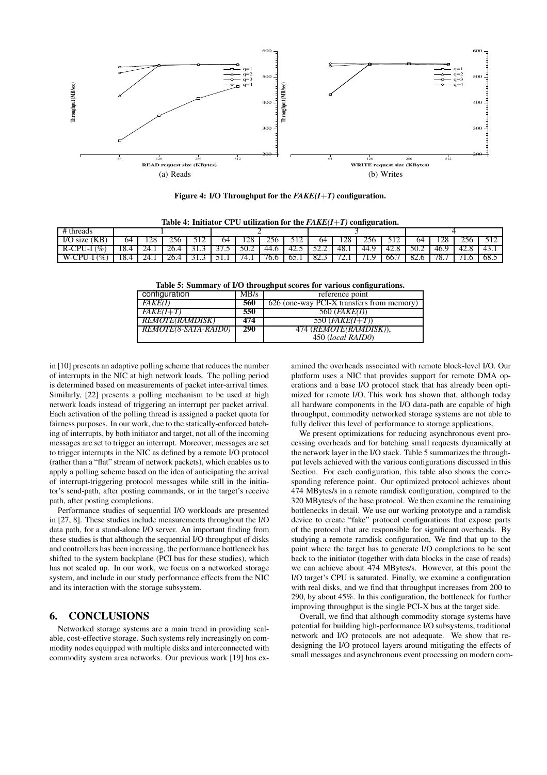

**Figure 4: I/O Throughput for the** *FAKE(I*+*T)* **configuration.**

| threads                                |             |              |           |        |          |      |      |       |             |            |       |            |         |          |            |      |
|----------------------------------------|-------------|--------------|-----------|--------|----------|------|------|-------|-------------|------------|-------|------------|---------|----------|------------|------|
| KB)<br>72<br>I/O<br>size               | 64          | 120          | 256       | ັ້     | 04       | -40  | 256  | JIZ   | 64          | 128        | 256   | ' 1 4      | ∸י<br>ັ | 1 Z O    | 256        | ັ້   |
| $\mathscr{C}_0$ .<br>R-CPU-I           | 18.         | 24.1         | ້ີ່       | .<br>◡ | ر .<br>◡ | 20.2 | 44.U | 44.U  | ے ۔ ب       | 48.1       | 44.5  | Δ.<br>т∠.∪ | 50.2    | 46.9     | 47<br>12.U | 43.1 |
| $\mathscr{C}_o$<br>w-c<br>CPU<br>. •−∪ | IX.<br>10.7 | 74<br>$-1.1$ | 26.<br>~∙ | .      | .        | т. т | v.v  | v., 1 | $\sim$<br>. | $\sim$ . 1 | O<br> | - 66.      | -82.6   | 70<br>o. | -<br>1.U   | 68.5 |

**Table 5: Summary of I/O throughput scores for various configurations.**

| configuration          | MB/s       | reference point                           |
|------------------------|------------|-------------------------------------------|
| <i>FAKE(I)</i>         | 560        | 626 (one-way PCI-X transfers from memory) |
| $FAKE(I+T)$            | 550        | $560$ ( <i>FAKE(I)</i> )                  |
| <b>REMOTE(RAMDISK)</b> | 474        | 550 $(FAKE(I+T))$                         |
| REMOTE(8-SATA-RAID0)   | <b>290</b> | 474 (REMOTE(RAMDISK)),                    |
|                        |            | 450 (local RAID0)                         |

in [10] presents an adaptive polling scheme that reduces the number of interrupts in the NIC at high network loads. The polling period is determined based on measurements of packet inter-arrival times. Similarly, [22] presents a polling mechanism to be used at high network loads instead of triggering an interrupt per packet arrival. Each activation of the polling thread is assigned a packet quota for fairness purposes. In our work, due to the statically-enforced batching of interrupts, by both initiator and target, not all of the incoming messages are set to trigger an interrupt. Moreover, messages are set to trigger interrupts in the NIC as defined by a remote I/O protocol (rather than a "flat" stream of network packets), which enables us to apply a polling scheme based on the idea of anticipating the arrival of interrupt-triggering protocol messages while still in the initiator's send-path, after posting commands, or in the target's receive path, after posting completions.

Performance studies of sequential I/O workloads are presented in [27, 8]. These studies include measurements throughout the I/O data path, for a stand-alone I/O server. An important finding from these studies is that although the sequential I/O throughput of disks and controllers has been increasing, the performance bottleneck has shifted to the system backplane (PCI bus for these studies), which has not scaled up. In our work, we focus on a networked storage system, and include in our study performance effects from the NIC and its interaction with the storage subsystem.

## **6. CONCLUSIONS**

Networked storage systems are a main trend in providing scalable, cost-effective storage. Such systems rely increasingly on commodity nodes equipped with multiple disks and interconnected with commodity system area networks. Our previous work [19] has ex-

amined the overheads associated with remote block-level I/O. Our platform uses a NIC that provides support for remote DMA operations and a base I/O protocol stack that has already been optimized for remote I/O. This work has shown that, although today all hardware components in the I/O data-path are capable of high throughput, commodity networked storage systems are not able to fully deliver this level of performance to storage applications.

We present optimizations for reducing asynchronous event processing overheads and for batching small requests dynamically at the network layer in the I/O stack. Table 5 summarizes the throughput levels achieved with the various configurations discussed in this Section. For each configuration, this table also shows the corresponding reference point. Our optimized protocol achieves about 474 MBytes/s in a remote ramdisk configuration, compared to the 320 MBytes/s of the base protocol. We then examine the remaining bottlenecks in detail. We use our working prototype and a ramdisk device to create "fake" protocol configurations that expose parts of the protocol that are responsible for significant overheads. By studying a remote ramdisk configuration, We find that up to the point where the target has to generate I/O completions to be sent back to the initiator (together with data blocks in the case of reads) we can achieve about 474 MBytes/s. However, at this point the I/O target's CPU is saturated. Finally, we examine a configuration with real disks, and we find that throughput increases from 200 to 290, by about 45%. In this configuration, the bottleneck for further improving throughput is the single PCI-X bus at the target side.

Overall, we find that although commodity storage systems have potential for building high-performance I/O subsystems, traditional network and I/O protocols are not adequate. We show that redesigning the I/O protocol layers around mitigating the effects of small messages and asynchronous event processing on modern com-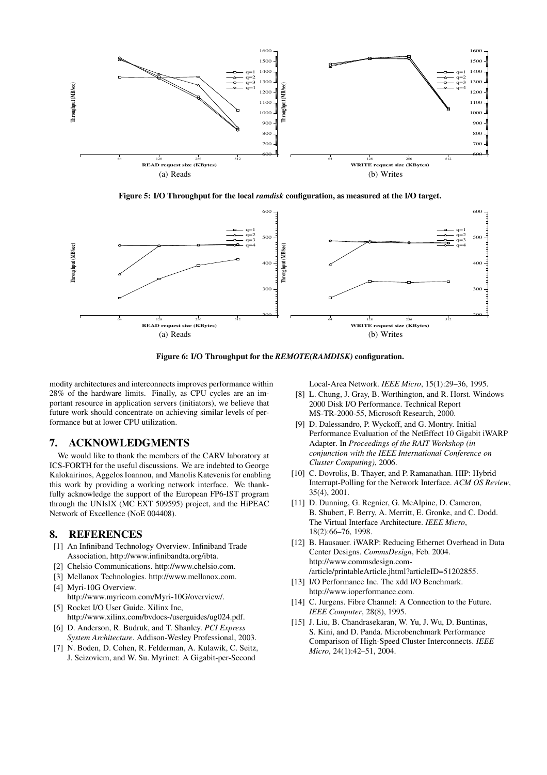

**Figure 5: I/O Throughput for the local** *ramdisk* **configuration, as measured at the I/O target.**



**Figure 6: I/O Throughput for the** *REMOTE(RAMDISK)* **configuration.**

modity architectures and interconnects improves performance within 28% of the hardware limits. Finally, as CPU cycles are an important resource in application servers (initiators), we believe that future work should concentrate on achieving similar levels of performance but at lower CPU utilization.

# **7. ACKNOWLEDGMENTS**

We would like to thank the members of the CARV laboratory at ICS-FORTH for the useful discussions. We are indebted to George Kalokairinos, Aggelos Ioannou, and Manolis Katevenis for enabling this work by providing a working network interface. We thankfully acknowledge the support of the European FP6-IST program through the UNIsIX (MC EXT 509595) project, and the HiPEAC Network of Excellence (NoE 004408).

## **8. REFERENCES**

- [1] An Infiniband Technology Overview. Infiniband Trade Association, http://www.infinibandta.org/ibta.
- [2] Chelsio Communications. http://www.chelsio.com.
- [3] Mellanox Technologies. http://www.mellanox.com.
- [4] Myri-10G Overview. http://www.myricom.com/Myri-10G/overview/.
- [5] Rocket I/O User Guide. Xilinx Inc, http://www.xilinx.com/bvdocs-/userguides/ug024.pdf.
- [6] D. Anderson, R. Budruk, and T. Shanley. *PCI Express System Architecture*. Addison-Wesley Professional, 2003.
- [7] N. Boden, D. Cohen, R. Felderman, A. Kulawik, C. Seitz, J. Seizovicm, and W. Su. Myrinet: A Gigabit-per-Second

Local-Area Network. *IEEE Micro*, 15(1):29–36, 1995.

- [8] L. Chung, J. Gray, B. Worthington, and R. Horst. Windows 2000 Disk I/O Performance. Technical Report MS-TR-2000-55, Microsoft Research, 2000.
- [9] D. Dalessandro, P. Wyckoff, and G. Montry. Initial Performance Evaluation of the NetEffect 10 Gigabit iWARP Adapter. In *Proceedings of the RAIT Workshop (in conjunction with the IEEE International Conference on Cluster Computing)*, 2006.
- [10] C. Dovrolis, B. Thayer, and P. Ramanathan. HIP: Hybrid Interrupt-Polling for the Network Interface. *ACM OS Review*, 35(4), 2001.
- [11] D. Dunning, G. Regnier, G. McAlpine, D. Cameron, B. Shubert, F. Berry, A. Merritt, E. Gronke, and C. Dodd. The Virtual Interface Architecture. *IEEE Micro*, 18(2):66–76, 1998.
- [12] B. Hausauer. iWARP: Reducing Ethernet Overhead in Data Center Designs. *CommsDesign*, Feb. 2004. http://www.commsdesign.com- /article/printableArticle.jhtml?articleID=51202855.
- [13] I/O Performance Inc. The xdd I/O Benchmark. http://www.ioperformance.com.
- [14] C. Jurgens. Fibre Channel: A Connection to the Future. *IEEE Computer*, 28(8), 1995.
- [15] J. Liu, B. Chandrasekaran, W. Yu, J. Wu, D. Buntinas, S. Kini, and D. Panda. Microbenchmark Performance Comparison of High-Speed Cluster Interconnects. *IEEE Micro*, 24(1):42–51, 2004.